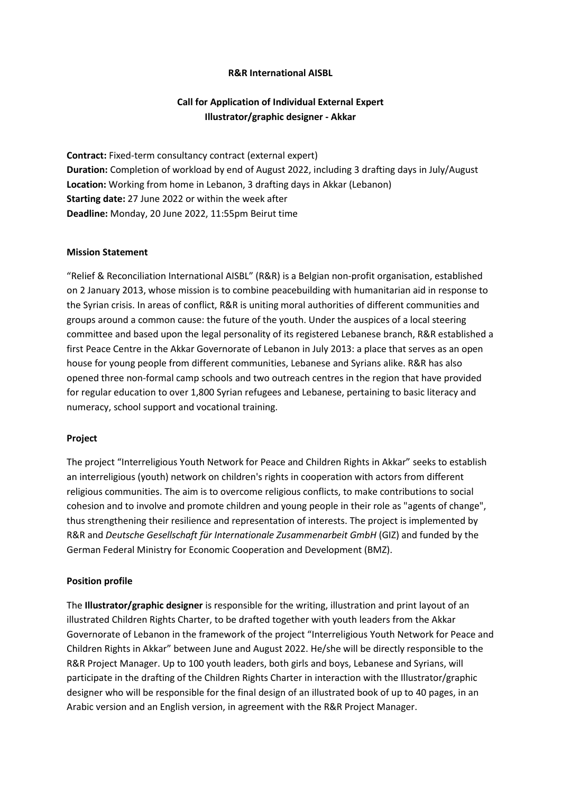## **R&R International AISBL**

# **Call for Application of Individual External Expert Illustrator/graphic designer - Akkar**

**Contract:** Fixed-term consultancy contract (external expert) **Duration:** Completion of workload by end of August 2022, including 3 drafting days in July/August **Location:** Working from home in Lebanon, 3 drafting days in Akkar (Lebanon) **Starting date:** 27 June 2022 or within the week after **Deadline:** Monday, 20 June 2022, 11:55pm Beirut time

### **Mission Statement**

"Relief & Reconciliation International AISBL" (R&R) is a Belgian non-profit organisation, established on 2 January 2013, whose mission is to combine peacebuilding with humanitarian aid in response to the Syrian crisis. In areas of conflict, R&R is uniting moral authorities of different communities and groups around a common cause: the future of the youth. Under the auspices of a local steering committee and based upon the legal personality of its registered Lebanese branch, R&R established a first Peace Centre in the Akkar Governorate of Lebanon in July 2013: a place that serves as an open house for young people from different communities, Lebanese and Syrians alike. R&R has also opened three non-formal camp schools and two outreach centres in the region that have provided for regular education to over 1,800 Syrian refugees and Lebanese, pertaining to basic literacy and numeracy, school support and vocational training.

### **Project**

The project "Interreligious Youth Network for Peace and Children Rights in Akkar" seeks to establish an interreligious (youth) network on children's rights in cooperation with actors from different religious communities. The aim is to overcome religious conflicts, to make contributions to social cohesion and to involve and promote children and young people in their role as "agents of change", thus strengthening their resilience and representation of interests. The project is implemented by R&R and *Deutsche Gesellschaft für Internationale Zusammenarbeit GmbH* (GIZ) and funded by the German Federal Ministry for Economic Cooperation and Development (BMZ).

### **Position profile**

The **Illustrator/graphic designer** is responsible for the writing, illustration and print layout of an illustrated Children Rights Charter, to be drafted together with youth leaders from the Akkar Governorate of Lebanon in the framework of the project "Interreligious Youth Network for Peace and Children Rights in Akkar" between June and August 2022. He/she will be directly responsible to the R&R Project Manager. Up to 100 youth leaders, both girls and boys, Lebanese and Syrians, will participate in the drafting of the Children Rights Charter in interaction with the Illustrator/graphic designer who will be responsible for the final design of an illustrated book of up to 40 pages, in an Arabic version and an English version, in agreement with the R&R Project Manager.